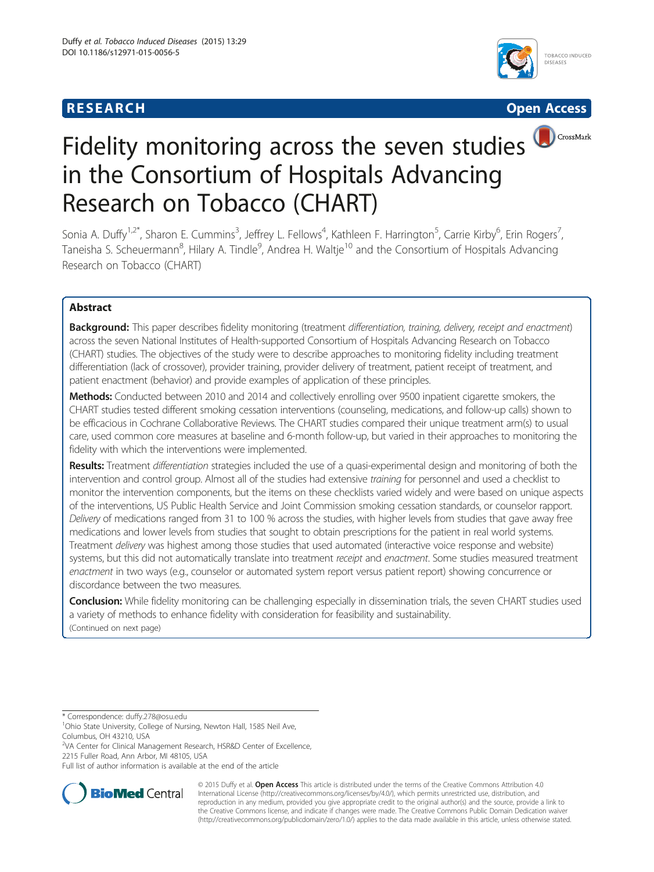# **RESEARCH CHEAR CHEAR CHEAR CHEAR CHEAR CHEAR CHEAR CHEAR CHEAR CHEAR CHEAR CHEAR CHEAR CHEAR CHEAR CHEAR CHEAR**





# Fidelity monitoring across the seven studies in the Consortium of Hospitals Advancing Research on Tobacco (CHART)

Sonia A. Duffy<sup>1,2\*</sup>, Sharon E. Cummins<sup>3</sup>, Jeffrey L. Fellows<sup>4</sup>, Kathleen F. Harrington<sup>5</sup>, Carrie Kirby<sup>6</sup>, Erin Rogers<sup>7</sup> , Taneisha S. Scheuermann<sup>8</sup>, Hilary A. Tindle<sup>9</sup>, Andrea H. Waltje<sup>10</sup> and the Consortium of Hospitals Advancing Research on Tobacco (CHART)

# Abstract

Background: This paper describes fidelity monitoring (treatment differentiation, training, delivery, receipt and enactment) across the seven National Institutes of Health-supported Consortium of Hospitals Advancing Research on Tobacco (CHART) studies. The objectives of the study were to describe approaches to monitoring fidelity including treatment differentiation (lack of crossover), provider training, provider delivery of treatment, patient receipt of treatment, and patient enactment (behavior) and provide examples of application of these principles.

Methods: Conducted between 2010 and 2014 and collectively enrolling over 9500 inpatient cigarette smokers, the CHART studies tested different smoking cessation interventions (counseling, medications, and follow-up calls) shown to be efficacious in Cochrane Collaborative Reviews. The CHART studies compared their unique treatment arm(s) to usual care, used common core measures at baseline and 6-month follow-up, but varied in their approaches to monitoring the fidelity with which the interventions were implemented.

Results: Treatment differentiation strategies included the use of a quasi-experimental design and monitoring of both the intervention and control group. Almost all of the studies had extensive training for personnel and used a checklist to monitor the intervention components, but the items on these checklists varied widely and were based on unique aspects of the interventions, US Public Health Service and Joint Commission smoking cessation standards, or counselor rapport. Delivery of medications ranged from 31 to 100 % across the studies, with higher levels from studies that gave away free medications and lower levels from studies that sought to obtain prescriptions for the patient in real world systems. Treatment delivery was highest among those studies that used automated (interactive voice response and website) systems, but this did not automatically translate into treatment receipt and enactment. Some studies measured treatment enactment in two ways (e.g., counselor or automated system report versus patient report) showing concurrence or discordance between the two measures.

Conclusion: While fidelity monitoring can be challenging especially in dissemination trials, the seven CHART studies used a variety of methods to enhance fidelity with consideration for feasibility and sustainability. (Continued on next page)

\* Correspondence: [duffy.278@osu.edu](mailto:duffy.278@osu.edu) <sup>1</sup>

<sup>1</sup>Ohio State University, College of Nursing, Newton Hall, 1585 Neil Ave, Columbus, OH 43210, USA

<sup>2</sup>VA Center for Clinical Management Research, HSR&D Center of Excellence, 2215 Fuller Road, Ann Arbor, MI 48105, USA

Full list of author information is available at the end of the article



© 2015 Duffy et al. Open Access This article is distributed under the terms of the Creative Commons Attribution 4.0 International License [\(http://creativecommons.org/licenses/by/4.0/](http://creativecommons.org/licenses/by/4.0/)), which permits unrestricted use, distribution, and reproduction in any medium, provided you give appropriate credit to the original author(s) and the source, provide a link to the Creative Commons license, and indicate if changes were made. The Creative Commons Public Domain Dedication waiver [\(http://creativecommons.org/publicdomain/zero/1.0/](http://creativecommons.org/publicdomain/zero/1.0/)) applies to the data made available in this article, unless otherwise stated.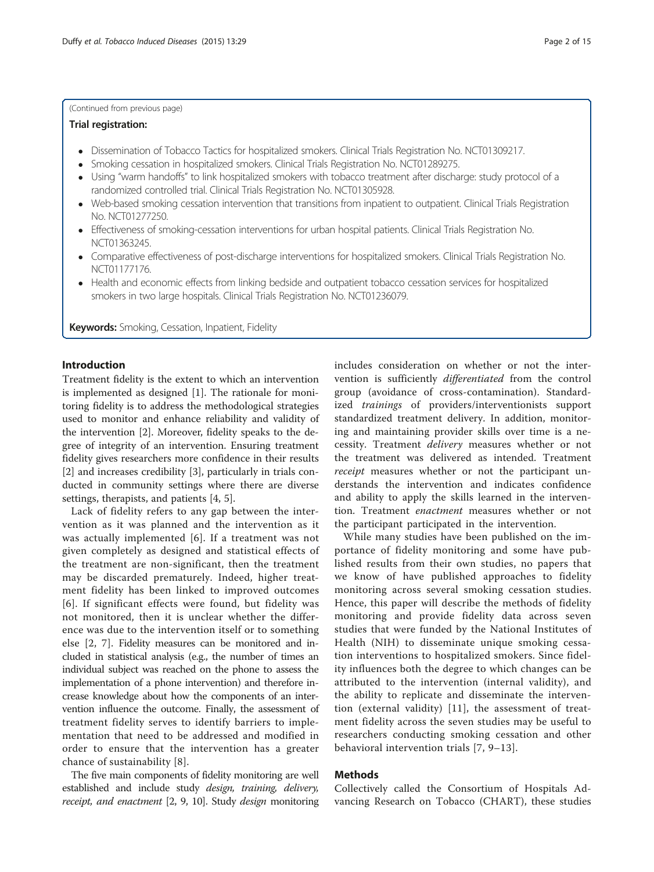### (Continued from previous page)

### Trial registration:

- Dissemination of Tobacco Tactics for hospitalized smokers. Clinical Trials Registration No. [NCT01309217](https://www.clinicaltrials.gov/ct2/show/NCT01309217).
- Smoking cessation in hospitalized smokers. Clinical Trials Registration No. [NCT01289275](https://clinicaltrials.gov/ct2/show/NCT01289275?term=hospitalized+smokers&rank=3).
- Using "warm handoffs" to link hospitalized smokers with tobacco treatment after discharge: study protocol of a randomized controlled trial. Clinical Trials Registration No. [NCT01305928.](https://clinicaltrials.gov/show/NCT01305928)
- Web-based smoking cessation intervention that transitions from inpatient to outpatient. Clinical Trials Registration No. [NCT01277250.](https://www.clinicaltrials.gov/ct2/show/NCT01277250)
- Effectiveness of smoking-cessation interventions for urban hospital patients. Clinical Trials Registration No. [NCT01363245](https://clinicaltrials.gov/ct2/show/NCT01363245).
- Comparative effectiveness of post-discharge interventions for hospitalized smokers. Clinical Trials Registration No. [NCT01177176](https://clinicaltrials.gov/show/NCT01177176).
- Health and economic effects from linking bedside and outpatient tobacco cessation services for hospitalized smokers in two large hospitals. Clinical Trials Registration No. [NCT01236079](https://clinicaltrials.gov/show/NCT01236079).

**Keywords:** Smoking, Cessation, Inpatient, Fidelity

# Introduction

Treatment fidelity is the extent to which an intervention is implemented as designed [[1\]](#page-14-0). The rationale for monitoring fidelity is to address the methodological strategies used to monitor and enhance reliability and validity of the intervention [[2\]](#page-14-0). Moreover, fidelity speaks to the degree of integrity of an intervention. Ensuring treatment fidelity gives researchers more confidence in their results [[2\]](#page-14-0) and increases credibility [[3](#page-14-0)], particularly in trials conducted in community settings where there are diverse settings, therapists, and patients [\[4](#page-14-0), [5](#page-14-0)].

Lack of fidelity refers to any gap between the intervention as it was planned and the intervention as it was actually implemented [[6\]](#page-14-0). If a treatment was not given completely as designed and statistical effects of the treatment are non-significant, then the treatment may be discarded prematurely. Indeed, higher treatment fidelity has been linked to improved outcomes [[6](#page-14-0)]. If significant effects were found, but fidelity was not monitored, then it is unclear whether the difference was due to the intervention itself or to something else [[2, 7\]](#page-14-0). Fidelity measures can be monitored and included in statistical analysis (e.g., the number of times an individual subject was reached on the phone to assess the implementation of a phone intervention) and therefore increase knowledge about how the components of an intervention influence the outcome. Finally, the assessment of treatment fidelity serves to identify barriers to implementation that need to be addressed and modified in order to ensure that the intervention has a greater chance of sustainability [[8\]](#page-14-0).

The five main components of fidelity monitoring are well established and include study design, training, delivery, receipt, and enactment [\[2, 9](#page-14-0), [10](#page-14-0)]. Study design monitoring includes consideration on whether or not the intervention is sufficiently differentiated from the control group (avoidance of cross-contamination). Standardized trainings of providers/interventionists support standardized treatment delivery. In addition, monitoring and maintaining provider skills over time is a necessity. Treatment delivery measures whether or not the treatment was delivered as intended. Treatment receipt measures whether or not the participant understands the intervention and indicates confidence and ability to apply the skills learned in the intervention. Treatment enactment measures whether or not the participant participated in the intervention.

While many studies have been published on the importance of fidelity monitoring and some have published results from their own studies, no papers that we know of have published approaches to fidelity monitoring across several smoking cessation studies. Hence, this paper will describe the methods of fidelity monitoring and provide fidelity data across seven studies that were funded by the National Institutes of Health (NIH) to disseminate unique smoking cessation interventions to hospitalized smokers. Since fidelity influences both the degree to which changes can be attributed to the intervention (internal validity), and the ability to replicate and disseminate the intervention (external validity) [\[11\]](#page-14-0), the assessment of treatment fidelity across the seven studies may be useful to researchers conducting smoking cessation and other behavioral intervention trials [\[7](#page-14-0), [9](#page-14-0)–[13](#page-14-0)].

### Methods

Collectively called the Consortium of Hospitals Advancing Research on Tobacco (CHART), these studies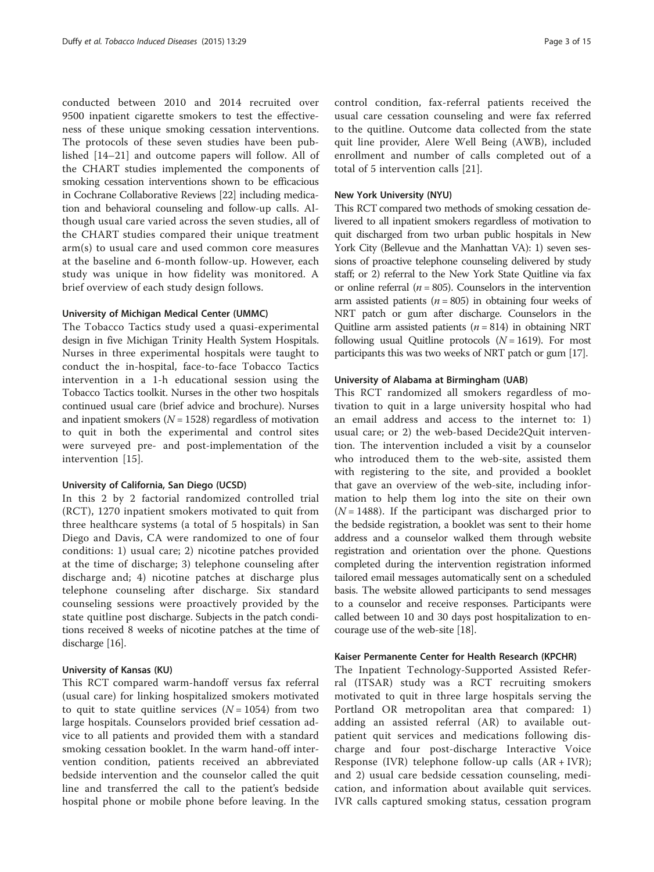conducted between 2010 and 2014 recruited over 9500 inpatient cigarette smokers to test the effectiveness of these unique smoking cessation interventions. The protocols of these seven studies have been published [[14](#page-14-0)–[21\]](#page-14-0) and outcome papers will follow. All of the CHART studies implemented the components of smoking cessation interventions shown to be efficacious in Cochrane Collaborative Reviews [[22](#page-14-0)] including medication and behavioral counseling and follow-up calls. Although usual care varied across the seven studies, all of the CHART studies compared their unique treatment arm(s) to usual care and used common core measures at the baseline and 6-month follow-up. However, each study was unique in how fidelity was monitored. A brief overview of each study design follows.

### University of Michigan Medical Center (UMMC)

The Tobacco Tactics study used a quasi-experimental design in five Michigan Trinity Health System Hospitals. Nurses in three experimental hospitals were taught to conduct the in-hospital, face-to-face Tobacco Tactics intervention in a 1-h educational session using the Tobacco Tactics toolkit. Nurses in the other two hospitals continued usual care (brief advice and brochure). Nurses and inpatient smokers ( $N = 1528$ ) regardless of motivation to quit in both the experimental and control sites were surveyed pre- and post-implementation of the intervention [[15](#page-14-0)].

### University of California, San Diego (UCSD)

In this 2 by 2 factorial randomized controlled trial (RCT), 1270 inpatient smokers motivated to quit from three healthcare systems (a total of 5 hospitals) in San Diego and Davis, CA were randomized to one of four conditions: 1) usual care; 2) nicotine patches provided at the time of discharge; 3) telephone counseling after discharge and; 4) nicotine patches at discharge plus telephone counseling after discharge. Six standard counseling sessions were proactively provided by the state quitline post discharge. Subjects in the patch conditions received 8 weeks of nicotine patches at the time of discharge [\[16\]](#page-14-0).

### University of Kansas (KU)

This RCT compared warm-handoff versus fax referral (usual care) for linking hospitalized smokers motivated to quit to state quitline services  $(N = 1054)$  from two large hospitals. Counselors provided brief cessation advice to all patients and provided them with a standard smoking cessation booklet. In the warm hand-off intervention condition, patients received an abbreviated bedside intervention and the counselor called the quit line and transferred the call to the patient's bedside hospital phone or mobile phone before leaving. In the

control condition, fax-referral patients received the usual care cessation counseling and were fax referred to the quitline. Outcome data collected from the state quit line provider, Alere Well Being (AWB), included enrollment and number of calls completed out of a total of 5 intervention calls [[21](#page-14-0)].

### New York University (NYU)

This RCT compared two methods of smoking cessation delivered to all inpatient smokers regardless of motivation to quit discharged from two urban public hospitals in New York City (Bellevue and the Manhattan VA): 1) seven sessions of proactive telephone counseling delivered by study staff; or 2) referral to the New York State Quitline via fax or online referral  $(n = 805)$ . Counselors in the intervention arm assisted patients ( $n = 805$ ) in obtaining four weeks of NRT patch or gum after discharge. Counselors in the Quitline arm assisted patients  $(n = 814)$  in obtaining NRT following usual Quitline protocols  $(N = 1619)$ . For most participants this was two weeks of NRT patch or gum [\[17\]](#page-14-0).

### University of Alabama at Birmingham (UAB)

This RCT randomized all smokers regardless of motivation to quit in a large university hospital who had an email address and access to the internet to: 1) usual care; or 2) the web-based Decide2Quit intervention. The intervention included a visit by a counselor who introduced them to the web-site, assisted them with registering to the site, and provided a booklet that gave an overview of the web-site, including information to help them log into the site on their own  $(N = 1488)$ . If the participant was discharged prior to the bedside registration, a booklet was sent to their home address and a counselor walked them through website registration and orientation over the phone. Questions completed during the intervention registration informed tailored email messages automatically sent on a scheduled basis. The website allowed participants to send messages to a counselor and receive responses. Participants were called between 10 and 30 days post hospitalization to encourage use of the web-site [\[18\]](#page-14-0).

# Kaiser Permanente Center for Health Research (KPCHR)

The Inpatient Technology-Supported Assisted Referral (ITSAR) study was a RCT recruiting smokers motivated to quit in three large hospitals serving the Portland OR metropolitan area that compared: 1) adding an assisted referral (AR) to available outpatient quit services and medications following discharge and four post-discharge Interactive Voice Response (IVR) telephone follow-up calls (AR + IVR); and 2) usual care bedside cessation counseling, medication, and information about available quit services. IVR calls captured smoking status, cessation program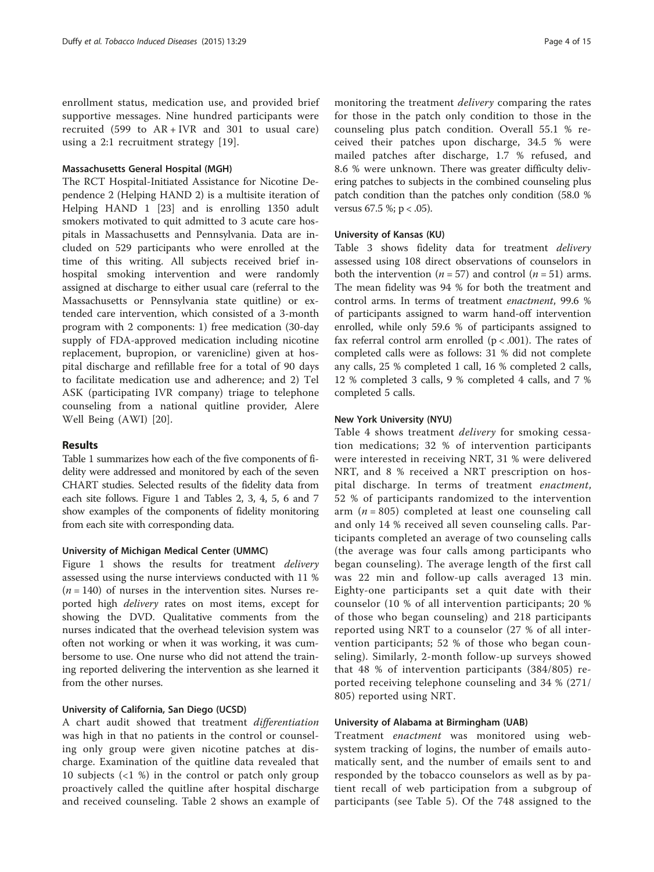enrollment status, medication use, and provided brief supportive messages. Nine hundred participants were recruited (599 to AR + IVR and 301 to usual care) using a 2:1 recruitment strategy [\[19](#page-14-0)].

### Massachusetts General Hospital (MGH)

The RCT Hospital-Initiated Assistance for Nicotine Dependence 2 (Helping HAND 2) is a multisite iteration of Helping HAND 1 [\[23](#page-14-0)] and is enrolling 1350 adult smokers motivated to quit admitted to 3 acute care hospitals in Massachusetts and Pennsylvania. Data are included on 529 participants who were enrolled at the time of this writing. All subjects received brief inhospital smoking intervention and were randomly assigned at discharge to either usual care (referral to the Massachusetts or Pennsylvania state quitline) or extended care intervention, which consisted of a 3-month program with 2 components: 1) free medication (30-day supply of FDA-approved medication including nicotine replacement, bupropion, or varenicline) given at hospital discharge and refillable free for a total of 90 days to facilitate medication use and adherence; and 2) Tel ASK (participating IVR company) triage to telephone counseling from a national quitline provider, Alere Well Being (AWI) [[20\]](#page-14-0).

### Results

Table [1](#page-4-0) summarizes how each of the five components of fidelity were addressed and monitored by each of the seven CHART studies. Selected results of the fidelity data from each site follows. Figure [1](#page-7-0) and Tables [2,](#page-7-0) [3, 4](#page-8-0), [5](#page-9-0), [6](#page-9-0) and [7](#page-10-0) show examples of the components of fidelity monitoring from each site with corresponding data.

### University of Michigan Medical Center (UMMC)

Figure [1](#page-7-0) shows the results for treatment *delivery* assessed using the nurse interviews conducted with 11 %  $(n = 140)$  of nurses in the intervention sites. Nurses reported high delivery rates on most items, except for showing the DVD. Qualitative comments from the nurses indicated that the overhead television system was often not working or when it was working, it was cumbersome to use. One nurse who did not attend the training reported delivering the intervention as she learned it from the other nurses.

# University of California, San Diego (UCSD)

A chart audit showed that treatment differentiation was high in that no patients in the control or counseling only group were given nicotine patches at discharge. Examination of the quitline data revealed that 10 subjects (<1 %) in the control or patch only group proactively called the quitline after hospital discharge and received counseling. Table [2](#page-7-0) shows an example of

monitoring the treatment *delivery* comparing the rates for those in the patch only condition to those in the counseling plus patch condition. Overall 55.1 % received their patches upon discharge, 34.5 % were mailed patches after discharge, 1.7 % refused, and 8.6 % were unknown. There was greater difficulty delivering patches to subjects in the combined counseling plus patch condition than the patches only condition (58.0 % versus 67.5 %;  $p < .05$ ).

### University of Kansas (KU)

Table [3](#page-8-0) shows fidelity data for treatment *delivery* assessed using 108 direct observations of counselors in both the intervention ( $n = 57$ ) and control ( $n = 51$ ) arms. The mean fidelity was 94 % for both the treatment and control arms. In terms of treatment enactment, 99.6 % of participants assigned to warm hand-off intervention enrolled, while only 59.6 % of participants assigned to fax referral control arm enrolled  $(p < .001)$ . The rates of completed calls were as follows: 31 % did not complete any calls, 25 % completed 1 call, 16 % completed 2 calls, 12 % completed 3 calls, 9 % completed 4 calls, and 7 % completed 5 calls.

### New York University (NYU)

Table [4](#page-8-0) shows treatment delivery for smoking cessation medications; 32 % of intervention participants were interested in receiving NRT, 31 % were delivered NRT, and 8 % received a NRT prescription on hospital discharge. In terms of treatment enactment, 52 % of participants randomized to the intervention arm ( $n = 805$ ) completed at least one counseling call and only 14 % received all seven counseling calls. Participants completed an average of two counseling calls (the average was four calls among participants who began counseling). The average length of the first call was 22 min and follow-up calls averaged 13 min. Eighty-one participants set a quit date with their counselor (10 % of all intervention participants; 20 % of those who began counseling) and 218 participants reported using NRT to a counselor (27 % of all intervention participants; 52 % of those who began counseling). Similarly, 2-month follow-up surveys showed that 48 % of intervention participants (384/805) reported receiving telephone counseling and 34 % (271/ 805) reported using NRT.

### University of Alabama at Birmingham (UAB)

Treatment enactment was monitored using websystem tracking of logins, the number of emails automatically sent, and the number of emails sent to and responded by the tobacco counselors as well as by patient recall of web participation from a subgroup of participants (see Table [5](#page-9-0)). Of the 748 assigned to the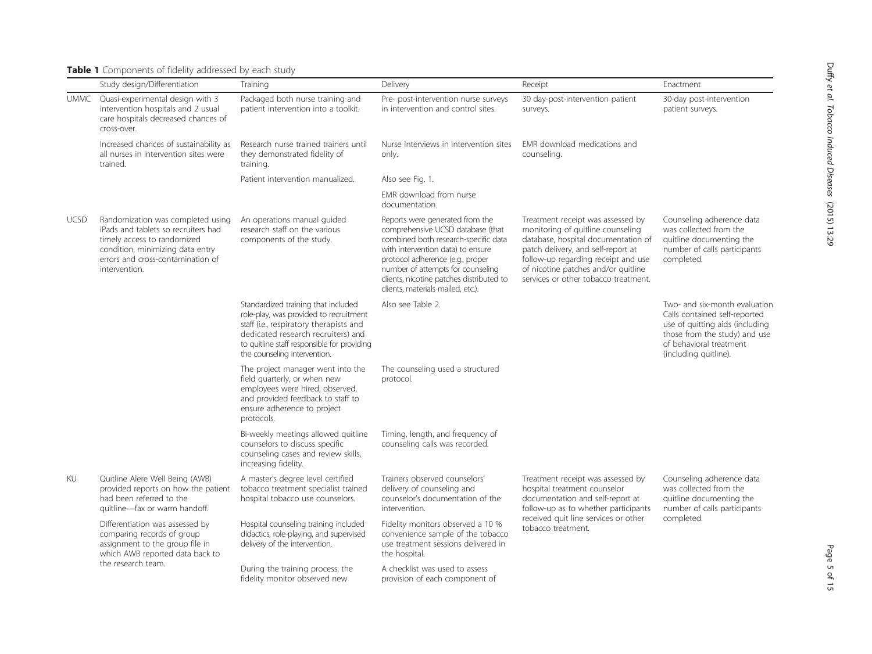<span id="page-4-0"></span>

|  |  | Table 1 Components of fidelity addressed by each study |  |  |  |  |  |  |
|--|--|--------------------------------------------------------|--|--|--|--|--|--|
|--|--|--------------------------------------------------------|--|--|--|--|--|--|

|             | Study design/Differentiation                                                                                                                                                                      | Training                                                                                                                                                                                                                                      | Delivery                                                                                                                                                                                                                                                                                                    | Receipt                                                                                                                                                                                                                                                                   | Enactment                                                                                                                                                                              |
|-------------|---------------------------------------------------------------------------------------------------------------------------------------------------------------------------------------------------|-----------------------------------------------------------------------------------------------------------------------------------------------------------------------------------------------------------------------------------------------|-------------------------------------------------------------------------------------------------------------------------------------------------------------------------------------------------------------------------------------------------------------------------------------------------------------|---------------------------------------------------------------------------------------------------------------------------------------------------------------------------------------------------------------------------------------------------------------------------|----------------------------------------------------------------------------------------------------------------------------------------------------------------------------------------|
| <b>UMMC</b> | Quasi-experimental design with 3<br>intervention hospitals and 2 usual<br>care hospitals decreased chances of<br>cross-over.                                                                      | Packaged both nurse training and<br>patient intervention into a toolkit.                                                                                                                                                                      | Pre- post-intervention nurse surveys<br>in intervention and control sites.                                                                                                                                                                                                                                  | 30 day-post-intervention patient<br>surveys.                                                                                                                                                                                                                              | 30-day post-intervention<br>patient surveys.                                                                                                                                           |
|             | Increased chances of sustainability as<br>all nurses in intervention sites were<br>trained.                                                                                                       | Research nurse trained trainers until<br>they demonstrated fidelity of<br>training.                                                                                                                                                           | Nurse interviews in intervention sites<br>only.                                                                                                                                                                                                                                                             | EMR download medications and<br>counselina.                                                                                                                                                                                                                               |                                                                                                                                                                                        |
|             |                                                                                                                                                                                                   | Patient intervention manualized.                                                                                                                                                                                                              | Also see Fig. 1.                                                                                                                                                                                                                                                                                            |                                                                                                                                                                                                                                                                           |                                                                                                                                                                                        |
|             |                                                                                                                                                                                                   |                                                                                                                                                                                                                                               | EMR download from nurse<br>documentation.                                                                                                                                                                                                                                                                   |                                                                                                                                                                                                                                                                           |                                                                                                                                                                                        |
| <b>UCSD</b> | Randomization was completed using<br>iPads and tablets so recruiters had<br>timely access to randomized<br>condition, minimizing data entry<br>errors and cross-contamination of<br>intervention. | An operations manual guided<br>research staff on the various<br>components of the study.                                                                                                                                                      | Reports were generated from the<br>comprehensive UCSD database (that<br>combined both research-specific data<br>with intervention data) to ensure<br>protocol adherence (e.g., proper<br>number of attempts for counseling<br>clients, nicotine patches distributed to<br>clients, materials mailed, etc.). | Treatment receipt was assessed by<br>monitoring of quitline counseling<br>database, hospital documentation of<br>patch delivery, and self-report at<br>follow-up regarding receipt and use<br>of nicotine patches and/or quitline<br>services or other tobacco treatment. | Counseling adherence data<br>was collected from the<br>quitline documenting the<br>number of calls participants<br>completed.                                                          |
|             |                                                                                                                                                                                                   | Standardized training that included<br>role-play, was provided to recruitment<br>staff (i.e., respiratory therapists and<br>dedicated research recruiters) and<br>to quitline staff responsible for providing<br>the counseling intervention. | Also see Table 2.                                                                                                                                                                                                                                                                                           |                                                                                                                                                                                                                                                                           | Two- and six-month evaluation<br>Calls contained self-reported<br>use of quitting aids (including<br>those from the study) and use<br>of behavioral treatment<br>(including quitline). |
|             |                                                                                                                                                                                                   | The project manager went into the<br>field quarterly, or when new<br>employees were hired, observed,<br>and provided feedback to staff to<br>ensure adherence to project<br>protocols.                                                        | The counseling used a structured<br>protocol.                                                                                                                                                                                                                                                               |                                                                                                                                                                                                                                                                           |                                                                                                                                                                                        |
|             |                                                                                                                                                                                                   | Bi-weekly meetings allowed quitline<br>counselors to discuss specific<br>counseling cases and review skills,<br>increasing fidelity.                                                                                                          | Timing, length, and frequency of<br>counseling calls was recorded.                                                                                                                                                                                                                                          |                                                                                                                                                                                                                                                                           |                                                                                                                                                                                        |
| KU          | Quitline Alere Well Being (AWB)<br>provided reports on how the patient<br>had been referred to the<br>quitline-fax or warm handoff.                                                               | A master's degree level certified<br>tobacco treatment specialist trained<br>hospital tobacco use counselors.                                                                                                                                 | Trainers observed counselors'<br>delivery of counseling and<br>counselor's documentation of the<br>intervention.                                                                                                                                                                                            | Treatment receipt was assessed by<br>hospital treatment counselor<br>documentation and self-report at<br>follow-up as to whether participants                                                                                                                             | Counseling adherence data<br>was collected from the<br>quitline documenting the<br>number of calls participants                                                                        |
|             | Differentiation was assessed by<br>comparing records of group<br>assignment to the group file in<br>which AWB reported data back to                                                               | Hospital counseling training included<br>didactics, role-playing, and supervised<br>delivery of the intervention.                                                                                                                             | Fidelity monitors observed a 10 %<br>convenience sample of the tobacco<br>use treatment sessions delivered in<br>the hospital.                                                                                                                                                                              | received quit line services or other<br>tobacco treatment.                                                                                                                                                                                                                | completed.                                                                                                                                                                             |
|             | the research team.                                                                                                                                                                                | During the training process, the<br>fidelity monitor observed new                                                                                                                                                                             | A checklist was used to assess<br>provision of each component of                                                                                                                                                                                                                                            |                                                                                                                                                                                                                                                                           |                                                                                                                                                                                        |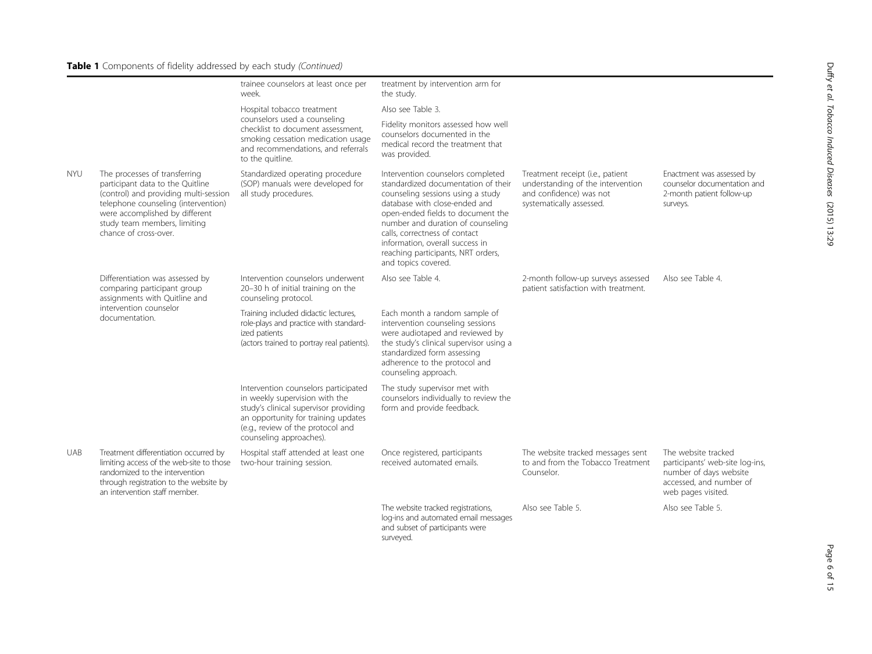# Table 1 Components of fidelity addressed by each study (Continued)

|            |                                                                                                                                                                                                                                              | trainee counselors at least once per<br>week.                                                                                                                                                                          | treatment by intervention arm for<br>the study.                                                                                                                                                                                                                                                                                                           |                                                                                                                              |                                                                                                                                   |
|------------|----------------------------------------------------------------------------------------------------------------------------------------------------------------------------------------------------------------------------------------------|------------------------------------------------------------------------------------------------------------------------------------------------------------------------------------------------------------------------|-----------------------------------------------------------------------------------------------------------------------------------------------------------------------------------------------------------------------------------------------------------------------------------------------------------------------------------------------------------|------------------------------------------------------------------------------------------------------------------------------|-----------------------------------------------------------------------------------------------------------------------------------|
|            |                                                                                                                                                                                                                                              | Hospital tobacco treatment                                                                                                                                                                                             | Also see Table 3.                                                                                                                                                                                                                                                                                                                                         |                                                                                                                              |                                                                                                                                   |
|            |                                                                                                                                                                                                                                              | counselors used a counseling<br>checklist to document assessment.<br>smoking cessation medication usage<br>and recommendations, and referrals<br>to the quitline.                                                      | Fidelity monitors assessed how well<br>counselors documented in the<br>medical record the treatment that<br>was provided.                                                                                                                                                                                                                                 |                                                                                                                              |                                                                                                                                   |
| <b>NYU</b> | The processes of transferring<br>participant data to the Quitline<br>(control) and providing multi-session<br>telephone counseling (intervention)<br>were accomplished by different<br>study team members, limiting<br>chance of cross-over. | Standardized operating procedure<br>(SOP) manuals were developed for<br>all study procedures.                                                                                                                          | Intervention counselors completed<br>standardized documentation of their<br>counseling sessions using a study<br>database with close-ended and<br>open-ended fields to document the<br>number and duration of counseling<br>calls, correctness of contact<br>information, overall success in<br>reaching participants, NRT orders,<br>and topics covered. | Treatment receipt (i.e., patient<br>understanding of the intervention<br>and confidence) was not<br>systematically assessed. | Enactment was assessed by<br>counselor documentation and<br>2-month patient follow-up<br>surveys.                                 |
|            | Differentiation was assessed by<br>comparing participant group<br>assignments with Quitline and<br>intervention counselor<br>documentation.                                                                                                  | Intervention counselors underwent<br>20-30 h of initial training on the<br>counseling protocol.                                                                                                                        | Also see Table 4.                                                                                                                                                                                                                                                                                                                                         | 2-month follow-up surveys assessed<br>patient satisfaction with treatment.                                                   | Also see Table 4.                                                                                                                 |
|            |                                                                                                                                                                                                                                              | Training included didactic lectures,<br>role-plays and practice with standard-<br>ized patients<br>(actors trained to portray real patients).                                                                          | Each month a random sample of<br>intervention counseling sessions<br>were audiotaped and reviewed by<br>the study's clinical supervisor using a<br>standardized form assessing<br>adherence to the protocol and<br>counseling approach.                                                                                                                   |                                                                                                                              |                                                                                                                                   |
|            |                                                                                                                                                                                                                                              | Intervention counselors participated<br>in weekly supervision with the<br>study's clinical supervisor providing<br>an opportunity for training updates<br>(e.g., review of the protocol and<br>counseling approaches). | The study supervisor met with<br>counselors individually to review the<br>form and provide feedback.                                                                                                                                                                                                                                                      |                                                                                                                              |                                                                                                                                   |
| <b>UAB</b> | Treatment differentiation occurred by<br>limiting access of the web-site to those<br>randomized to the intervention<br>through registration to the website by<br>an intervention staff member.                                               | Hospital staff attended at least one<br>two-hour training session.                                                                                                                                                     | Once registered, participants<br>received automated emails.                                                                                                                                                                                                                                                                                               | The website tracked messages sent<br>to and from the Tobacco Treatment<br>Counselor.                                         | The website tracked<br>participants' web-site log-ins,<br>number of days website<br>accessed, and number of<br>web pages visited. |
|            |                                                                                                                                                                                                                                              |                                                                                                                                                                                                                        | The website tracked registrations,<br>log-ins and automated email messages<br>and subset of participants were<br>surveyed.                                                                                                                                                                                                                                | Also see Table 5.                                                                                                            | Also see Table 5.                                                                                                                 |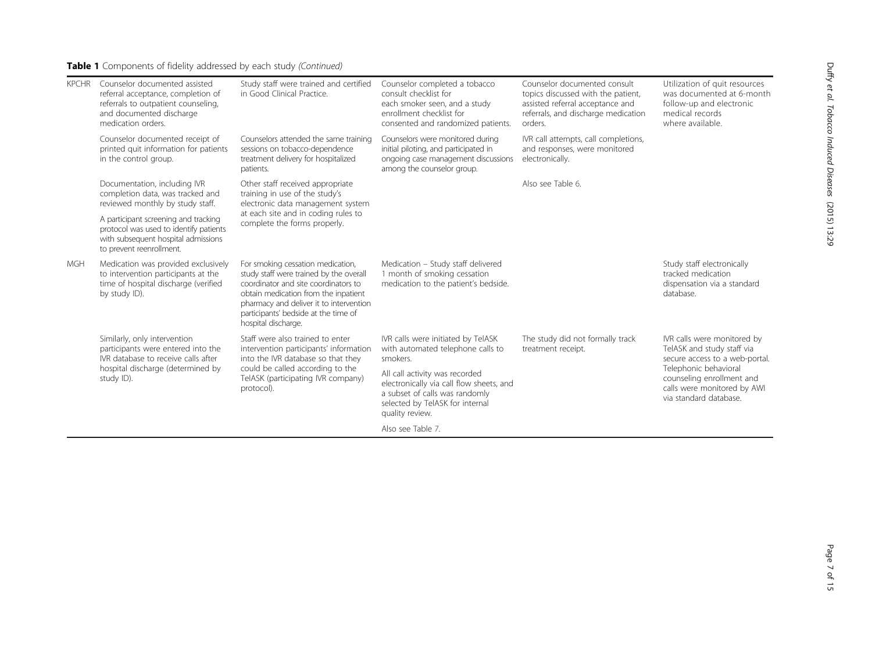# Table 1 Components of fidelity addressed by each study (Continued)

| <b>KPCHR</b> | Counselor documented assisted<br>referral acceptance, completion of<br>referrals to outpatient counseling,<br>and documented discharge<br>medication orders. | Study staff were trained and certified<br>in Good Clinical Practice.                                                                                                                                                                                                   | Counselor completed a tobacco<br>consult checklist for<br>each smoker seen, and a study<br>enrollment checklist for<br>consented and randomized patients.          | Counselor documented consult<br>topics discussed with the patient,<br>assisted referral acceptance and<br>referrals, and discharge medication<br>orders. | Utilization of quit resources<br>was documented at 6-month<br>follow-up and electronic<br>medical records<br>where available. |
|--------------|--------------------------------------------------------------------------------------------------------------------------------------------------------------|------------------------------------------------------------------------------------------------------------------------------------------------------------------------------------------------------------------------------------------------------------------------|--------------------------------------------------------------------------------------------------------------------------------------------------------------------|----------------------------------------------------------------------------------------------------------------------------------------------------------|-------------------------------------------------------------------------------------------------------------------------------|
|              | Counselor documented receipt of<br>printed quit information for patients<br>in the control group.                                                            | Counselors attended the same training<br>sessions on tobacco-dependence<br>treatment delivery for hospitalized<br>patients.                                                                                                                                            | Counselors were monitored during<br>initial piloting, and participated in<br>ongoing case management discussions<br>among the counselor group.                     | IVR call attempts, call completions,<br>and responses, were monitored<br>electronically.                                                                 |                                                                                                                               |
|              | Documentation, including IVR<br>completion data, was tracked and<br>reviewed monthly by study staff.                                                         | Other staff received appropriate<br>training in use of the study's<br>electronic data management system                                                                                                                                                                |                                                                                                                                                                    | Also see Table 6.                                                                                                                                        |                                                                                                                               |
|              | A participant screening and tracking<br>protocol was used to identify patients<br>with subsequent hospital admissions<br>to prevent reenrollment.            | at each site and in coding rules to<br>complete the forms properly.                                                                                                                                                                                                    |                                                                                                                                                                    |                                                                                                                                                          |                                                                                                                               |
| <b>MGH</b>   | Medication was provided exclusively<br>to intervention participants at the<br>time of hospital discharge (verified<br>by study ID).                          | For smoking cessation medication,<br>study staff were trained by the overall<br>coordinator and site coordinators to<br>obtain medication from the inpatient<br>pharmacy and deliver it to intervention<br>participants' bedside at the time of<br>hospital discharge. | Medication - Study staff delivered<br>1 month of smoking cessation<br>medication to the patient's bedside.                                                         |                                                                                                                                                          | Study staff electronically<br>tracked medication<br>dispensation via a standard<br>database.                                  |
|              | Similarly, only intervention<br>participants were entered into the<br>IVR database to receive calls after                                                    | Staff were also trained to enter<br>intervention participants' information<br>into the IVR database so that they                                                                                                                                                       | IVR calls were initiated by TelASK<br>with automated telephone calls to<br>smokers.                                                                                | The study did not formally track<br>treatment receipt.                                                                                                   | IVR calls were monitored by<br>TelASK and study staff via<br>secure access to a web-portal.                                   |
|              | hospital discharge (determined by<br>study ID).                                                                                                              | could be called according to the<br>TelASK (participating IVR company)<br>protocol).                                                                                                                                                                                   | All call activity was recorded<br>electronically via call flow sheets, and<br>a subset of calls was randomly<br>selected by TelASK for internal<br>quality review. |                                                                                                                                                          | Telephonic behavioral<br>counseling enrollment and<br>calls were monitored by AWI<br>via standard database.                   |
|              |                                                                                                                                                              |                                                                                                                                                                                                                                                                        | Also see Table 7.                                                                                                                                                  |                                                                                                                                                          |                                                                                                                               |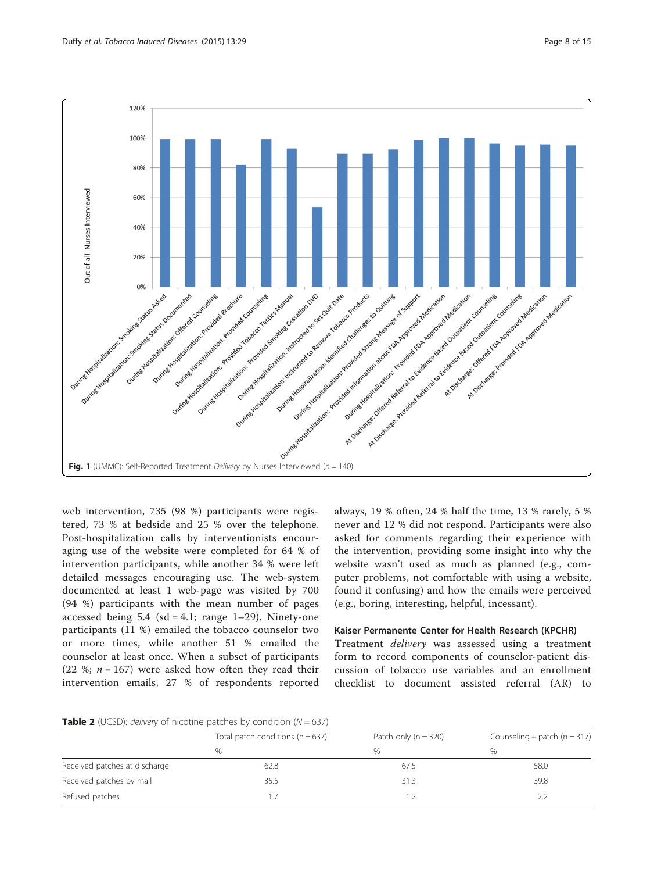<span id="page-7-0"></span>

web intervention, 735 (98 %) participants were registered, 73 % at bedside and 25 % over the telephone. Post-hospitalization calls by interventionists encouraging use of the website were completed for 64 % of intervention participants, while another 34 % were left detailed messages encouraging use. The web-system documented at least 1 web-page was visited by 700 (94 %) participants with the mean number of pages accessed being  $5.4$  (sd = 4.1; range 1–29). Ninety-one participants (11 %) emailed the tobacco counselor two or more times, while another 51 % emailed the counselor at least once. When a subset of participants (22 %;  $n = 167$ ) were asked how often they read their intervention emails, 27 % of respondents reported

always, 19 % often, 24 % half the time, 13 % rarely, 5 % never and 12 % did not respond. Participants were also asked for comments regarding their experience with the intervention, providing some insight into why the website wasn't used as much as planned (e.g., computer problems, not comfortable with using a website, found it confusing) and how the emails were perceived (e.g., boring, interesting, helpful, incessant).

# Kaiser Permanente Center for Health Research (KPCHR)

Treatment delivery was assessed using a treatment form to record components of counselor-patient discussion of tobacco use variables and an enrollment checklist to document assisted referral (AR) to

**Table 2** (UCSD): *delivery* of nicotine patches by condition  $(N = 637)$ 

|                               | Total patch conditions ( $n = 637$ ) | Patch only $(n = 320)$ | Counseling + patch ( $n = 317$ ) |  |  |  |
|-------------------------------|--------------------------------------|------------------------|----------------------------------|--|--|--|
|                               | %                                    | $\%$                   | %                                |  |  |  |
| Received patches at discharge | 62.8                                 | 67.5                   | 58.0                             |  |  |  |
| Received patches by mail      | 35.5                                 | 31.3                   | 39.8                             |  |  |  |
| Refused patches               |                                      |                        | 2.2                              |  |  |  |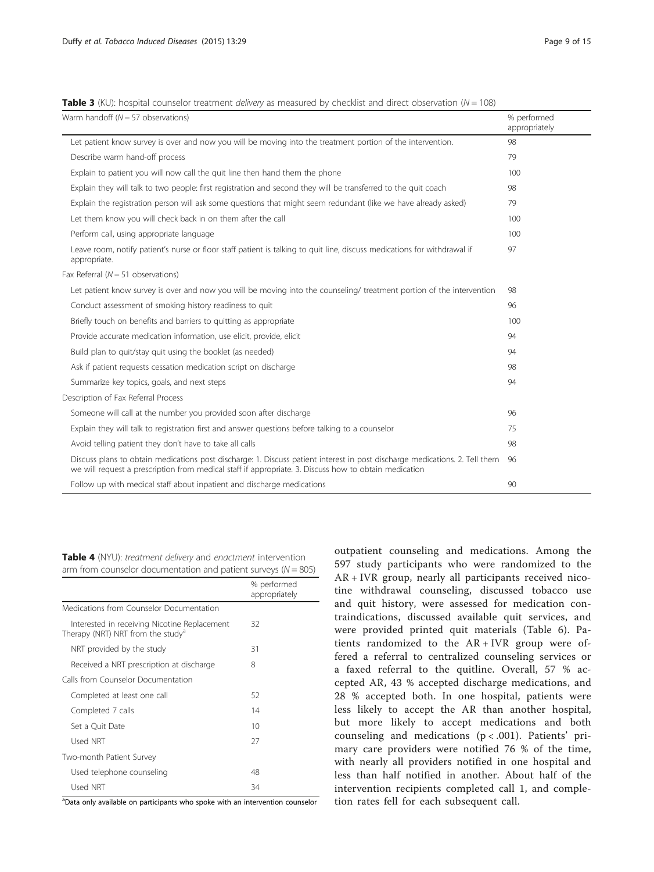<span id="page-8-0"></span>**Table 3** (KU): hospital counselor treatment *delivery* as measured by checklist and direct observation ( $N = 108$ )

| Warm handoff ( $N = 57$ observations)                                                                                                                                                                                                | % performed<br>appropriately |
|--------------------------------------------------------------------------------------------------------------------------------------------------------------------------------------------------------------------------------------|------------------------------|
| Let patient know survey is over and now you will be moving into the treatment portion of the intervention.                                                                                                                           | 98                           |
| Describe warm hand-off process                                                                                                                                                                                                       | 79                           |
| Explain to patient you will now call the quit line then hand them the phone                                                                                                                                                          | 100                          |
| Explain they will talk to two people: first registration and second they will be transferred to the quit coach                                                                                                                       | 98                           |
| Explain the registration person will ask some questions that might seem redundant (like we have already asked)                                                                                                                       | 79                           |
| Let them know you will check back in on them after the call                                                                                                                                                                          | 100                          |
| Perform call, using appropriate language                                                                                                                                                                                             | 100                          |
| Leave room, notify patient's nurse or floor staff patient is talking to quit line, discuss medications for withdrawal if<br>appropriate.                                                                                             | 97                           |
| Fax Referral ( $N = 51$ observations)                                                                                                                                                                                                |                              |
| Let patient know survey is over and now you will be moving into the counseling/ treatment portion of the intervention                                                                                                                | 98                           |
| Conduct assessment of smoking history readiness to quit                                                                                                                                                                              | 96                           |
| Briefly touch on benefits and barriers to quitting as appropriate                                                                                                                                                                    | 100                          |
| Provide accurate medication information, use elicit, provide, elicit                                                                                                                                                                 | 94                           |
| Build plan to quit/stay quit using the booklet (as needed)                                                                                                                                                                           | 94                           |
| Ask if patient requests cessation medication script on discharge                                                                                                                                                                     | 98                           |
| Summarize key topics, goals, and next steps                                                                                                                                                                                          | 94                           |
| Description of Fax Referral Process                                                                                                                                                                                                  |                              |
| Someone will call at the number you provided soon after discharge                                                                                                                                                                    | 96                           |
| Explain they will talk to registration first and answer questions before talking to a counselor                                                                                                                                      | 75                           |
| Avoid telling patient they don't have to take all calls                                                                                                                                                                              | 98                           |
| Discuss plans to obtain medications post discharge: 1. Discuss patient interest in post discharge medications. 2. Tell them<br>we will request a prescription from medical staff if appropriate. 3. Discuss how to obtain medication | 96                           |
| Follow up with medical staff about inpatient and discharge medications                                                                                                                                                               | 90                           |

Table 4 (NYU): treatment delivery and enactment intervention arm from counselor documentation and patient surveys ( $N = 805$ )

|                                                                                               | % performed<br>appropriately |
|-----------------------------------------------------------------------------------------------|------------------------------|
| Medications from Counselor Documentation                                                      |                              |
| Interested in receiving Nicotine Replacement<br>Therapy (NRT) NRT from the study <sup>a</sup> | 32                           |
| NRT provided by the study                                                                     | 31                           |
| Received a NRT prescription at discharge                                                      | 8                            |
| Calls from Counselor Documentation                                                            |                              |
| Completed at least one call                                                                   | 52                           |
| Completed 7 calls                                                                             | 14                           |
| Set a Ouit Date                                                                               | 10                           |
| Used NRT                                                                                      | 27                           |
| Two-month Patient Survey                                                                      |                              |
| Used telephone counseling                                                                     | 48                           |
| Used NRT                                                                                      | 34                           |

<sup>a</sup>Data only available on participants who spoke with an intervention counselor

outpatient counseling and medications. Among the 597 study participants who were randomized to the AR + IVR group, nearly all participants received nicotine withdrawal counseling, discussed tobacco use and quit history, were assessed for medication contraindications, discussed available quit services, and were provided printed quit materials (Table [6](#page-9-0)). Patients randomized to the AR + IVR group were offered a referral to centralized counseling services or a faxed referral to the quitline. Overall, 57 % accepted AR, 43 % accepted discharge medications, and 28 % accepted both. In one hospital, patients were less likely to accept the AR than another hospital, but more likely to accept medications and both counseling and medications (p < .001). Patients' primary care providers were notified 76 % of the time, with nearly all providers notified in one hospital and less than half notified in another. About half of the intervention recipients completed call 1, and completion rates fell for each subsequent call.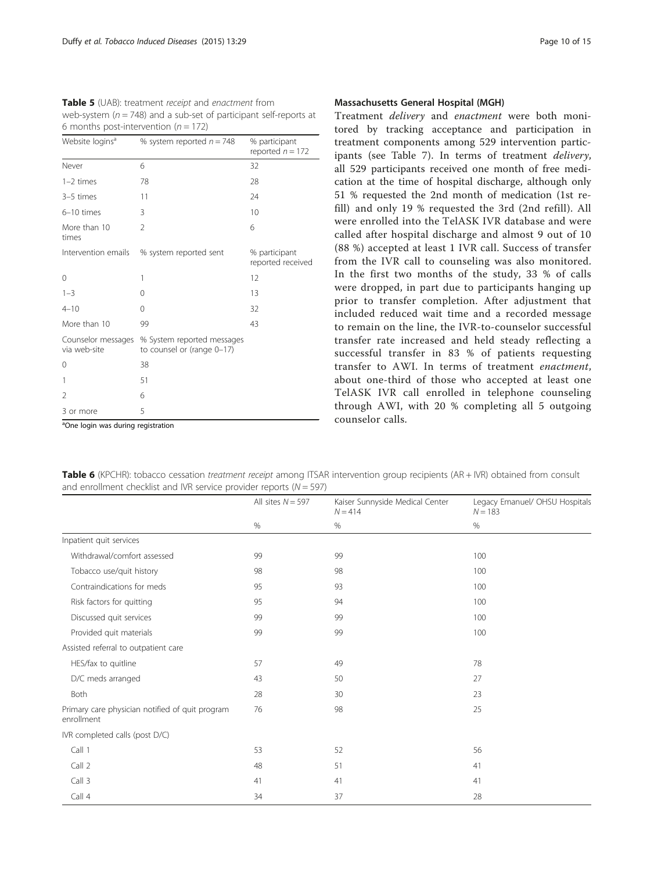<span id="page-9-0"></span>Table 5 (UAB): treatment receipt and enactment from web-system ( $n = 748$ ) and a sub-set of participant self-reports at 6 months post-intervention ( $n = 172$ )

| Website logins <sup>a</sup>        | % system reported $n = 748$                              | % participant<br>reported $n = 172$ |
|------------------------------------|----------------------------------------------------------|-------------------------------------|
| Never                              | 6                                                        | 32                                  |
| $1-2$ times                        | 78                                                       | 28                                  |
| 3-5 times                          | 11                                                       | 24                                  |
| 6-10 times                         | 3                                                        | 10                                  |
| More than 10<br>times              | $\mathfrak{D}$                                           | 6                                   |
| Intervention emails                | % system reported sent                                   | % participant<br>reported received  |
| 0                                  | 1                                                        | 12                                  |
| $1 - 3$                            | 0                                                        | 13                                  |
| $4 - 10$                           | 0                                                        | 32                                  |
| More than 10                       | 99                                                       | 43                                  |
| Counselor messages<br>via web-site | % System reported messages<br>to counsel or (range 0-17) |                                     |
| 0                                  | 38                                                       |                                     |
| 1                                  | 51                                                       |                                     |
| $\mathfrak{D}$                     | 6                                                        |                                     |
| 3 or more                          | 5                                                        |                                     |

### Massachusetts General Hospital (MGH)

Treatment delivery and enactment were both monitored by tracking acceptance and participation in treatment components among 529 intervention participants (see Table [7\)](#page-10-0). In terms of treatment delivery, all 529 participants received one month of free medication at the time of hospital discharge, although only 51 % requested the 2nd month of medication (1st refill) and only 19 % requested the 3rd (2nd refill). All were enrolled into the TelASK IVR database and were called after hospital discharge and almost 9 out of 10 (88 %) accepted at least 1 IVR call. Success of transfer from the IVR call to counseling was also monitored. In the first two months of the study, 33 % of calls were dropped, in part due to participants hanging up prior to transfer completion. After adjustment that included reduced wait time and a recorded message to remain on the line, the IVR-to-counselor successful transfer rate increased and held steady reflecting a successful transfer in 83 % of patients requesting transfer to AWI. In terms of treatment enactment, about one-third of those who accepted at least one TelASK IVR call enrolled in telephone counseling through AWI, with 20 % completing all 5 outgoing counselor calls.

<sup>a</sup>One login was during registration

Table 6 (KPCHR): tobacco cessation treatment receipt among ITSAR intervention group recipients (AR + IVR) obtained from consult and enrollment checklist and IVR service provider reports ( $N = 597$ )

|                                                               | All sites $N = 597$ | Kaiser Sunnyside Medical Center<br>$N = 414$ | Legacy Emanuel/ OHSU Hospitals<br>$N = 183$ |
|---------------------------------------------------------------|---------------------|----------------------------------------------|---------------------------------------------|
|                                                               | %                   | %                                            | %                                           |
| Inpatient quit services                                       |                     |                                              |                                             |
| Withdrawal/comfort assessed                                   | 99                  | 99                                           | 100                                         |
| Tobacco use/quit history                                      | 98                  | 98                                           | 100                                         |
| Contraindications for meds                                    | 95                  | 93                                           | 100                                         |
| Risk factors for quitting                                     | 95                  | 94                                           | 100                                         |
| Discussed quit services                                       | 99                  | 99                                           | 100                                         |
| Provided quit materials                                       | 99                  | 99                                           | 100                                         |
| Assisted referral to outpatient care                          |                     |                                              |                                             |
| HES/fax to quitline                                           | 57                  | 49                                           | 78                                          |
| D/C meds arranged                                             | 43                  | 50                                           | 27                                          |
| Both                                                          | 28                  | 30                                           | 23                                          |
| Primary care physician notified of quit program<br>enrollment | 76                  | 98                                           | 25                                          |
| IVR completed calls (post D/C)                                |                     |                                              |                                             |
| Call 1                                                        | 53                  | 52                                           | 56                                          |
| Call 2                                                        | 48                  | 51                                           | 41                                          |
| Call 3                                                        | 41                  | 41                                           | 41                                          |
| Call 4                                                        | 34                  | 37                                           | 28                                          |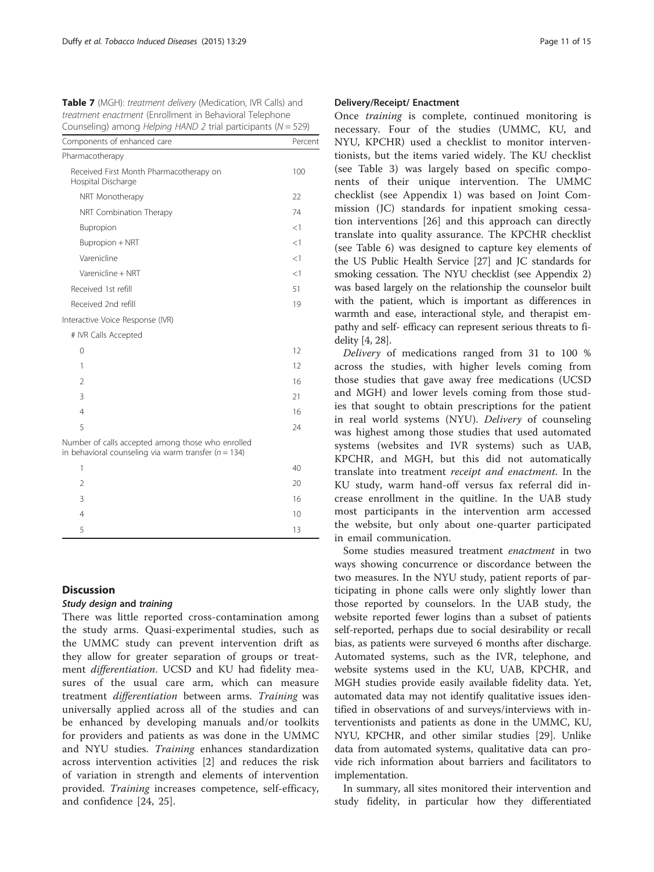<span id="page-10-0"></span>Table 7 (MGH): treatment delivery (Medication, IVR Calls) and treatment enactment (Enrollment in Behavioral Telephone Counseling) among *Helping HAND 2* trial participants ( $N = 529$ )

| Components of enhanced care                                                                                   | Percent |
|---------------------------------------------------------------------------------------------------------------|---------|
| Pharmacotherapy                                                                                               |         |
| Received First Month Pharmacotherapy on<br>Hospital Discharge                                                 | 100     |
| NRT Monotherapy                                                                                               | 22      |
| NRT Combination Therapy                                                                                       | 74      |
| Bupropion                                                                                                     | $<$ 1   |
| Bupropion + NRT                                                                                               | <1      |
| Varenicline                                                                                                   | $<$ 1   |
| Varenicline + NRT                                                                                             | <1      |
| Received 1st refill                                                                                           | 51      |
| Received 2nd refill                                                                                           | 19      |
| Interactive Voice Response (IVR)                                                                              |         |
| # IVR Calls Accepted                                                                                          |         |
| $\Omega$                                                                                                      | 12      |
| 1                                                                                                             | 12      |
| $\overline{2}$                                                                                                | 16      |
| 3                                                                                                             | 21      |
| $\overline{4}$                                                                                                | 16      |
| 5                                                                                                             | 24      |
| Number of calls accepted among those who enrolled<br>in behavioral counseling via warm transfer ( $n = 134$ ) |         |
| 1                                                                                                             | 40      |
| 2                                                                                                             | 20      |
| 3                                                                                                             | 16      |
| 4                                                                                                             | 10      |
| 5                                                                                                             | 13      |

## **Discussion**

# Study design and training

There was little reported cross-contamination among the study arms. Quasi-experimental studies, such as the UMMC study can prevent intervention drift as they allow for greater separation of groups or treatment *differentiation*. UCSD and KU had fidelity measures of the usual care arm, which can measure treatment differentiation between arms. Training was universally applied across all of the studies and can be enhanced by developing manuals and/or toolkits for providers and patients as was done in the UMMC and NYU studies. Training enhances standardization across intervention activities [[2\]](#page-14-0) and reduces the risk of variation in strength and elements of intervention provided. Training increases competence, self-efficacy, and confidence [\[24](#page-14-0), [25](#page-14-0)].

### Delivery/Receipt/ Enactment

Once training is complete, continued monitoring is necessary. Four of the studies (UMMC, KU, and NYU, KPCHR) used a checklist to monitor interventionists, but the items varied widely. The KU checklist (see Table [3\)](#page-8-0) was largely based on specific components of their unique intervention. The UMMC checklist (see [Appendix 1\)](#page-11-0) was based on Joint Commission (JC) standards for inpatient smoking cessation interventions [[26\]](#page-14-0) and this approach can directly translate into quality assurance. The KPCHR checklist (see Table [6](#page-9-0)) was designed to capture key elements of the US Public Health Service [\[27](#page-14-0)] and JC standards for smoking cessation. The NYU checklist (see [Appendix 2](#page-12-0)) was based largely on the relationship the counselor built with the patient, which is important as differences in warmth and ease, interactional style, and therapist empathy and self- efficacy can represent serious threats to fidelity [\[4](#page-14-0), [28](#page-14-0)].

Delivery of medications ranged from 31 to 100 % across the studies, with higher levels coming from those studies that gave away free medications (UCSD and MGH) and lower levels coming from those studies that sought to obtain prescriptions for the patient in real world systems (NYU). Delivery of counseling was highest among those studies that used automated systems (websites and IVR systems) such as UAB, KPCHR, and MGH, but this did not automatically translate into treatment receipt and enactment. In the KU study, warm hand-off versus fax referral did increase enrollment in the quitline. In the UAB study most participants in the intervention arm accessed the website, but only about one-quarter participated in email communication.

Some studies measured treatment enactment in two ways showing concurrence or discordance between the two measures. In the NYU study, patient reports of participating in phone calls were only slightly lower than those reported by counselors. In the UAB study, the website reported fewer logins than a subset of patients self-reported, perhaps due to social desirability or recall bias, as patients were surveyed 6 months after discharge. Automated systems, such as the IVR, telephone, and website systems used in the KU, UAB, KPCHR, and MGH studies provide easily available fidelity data. Yet, automated data may not identify qualitative issues identified in observations of and surveys/interviews with interventionists and patients as done in the UMMC, KU, NYU, KPCHR, and other similar studies [[29\]](#page-14-0). Unlike data from automated systems, qualitative data can provide rich information about barriers and facilitators to implementation.

In summary, all sites monitored their intervention and study fidelity, in particular how they differentiated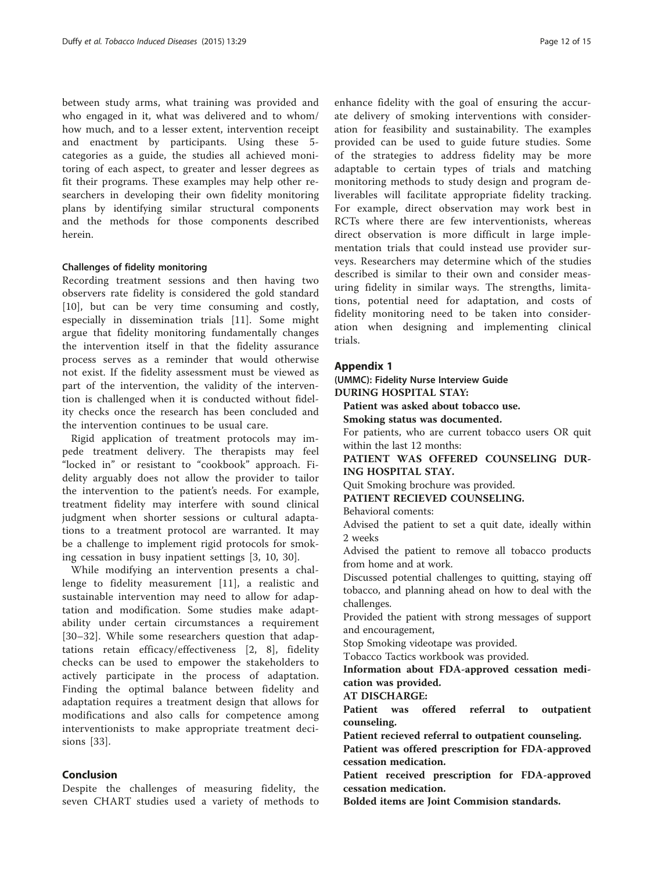<span id="page-11-0"></span>between study arms, what training was provided and who engaged in it, what was delivered and to whom/ how much, and to a lesser extent, intervention receipt and enactment by participants. Using these 5 categories as a guide, the studies all achieved monitoring of each aspect, to greater and lesser degrees as fit their programs. These examples may help other researchers in developing their own fidelity monitoring plans by identifying similar structural components and the methods for those components described herein.

### Challenges of fidelity monitoring

Recording treatment sessions and then having two observers rate fidelity is considered the gold standard [[10\]](#page-14-0), but can be very time consuming and costly, especially in dissemination trials [[11\]](#page-14-0). Some might argue that fidelity monitoring fundamentally changes the intervention itself in that the fidelity assurance process serves as a reminder that would otherwise not exist. If the fidelity assessment must be viewed as part of the intervention, the validity of the intervention is challenged when it is conducted without fidelity checks once the research has been concluded and the intervention continues to be usual care.

Rigid application of treatment protocols may impede treatment delivery. The therapists may feel "locked in" or resistant to "cookbook" approach. Fidelity arguably does not allow the provider to tailor the intervention to the patient's needs. For example, treatment fidelity may interfere with sound clinical judgment when shorter sessions or cultural adaptations to a treatment protocol are warranted. It may be a challenge to implement rigid protocols for smoking cessation in busy inpatient settings [\[3](#page-14-0), [10](#page-14-0), [30\]](#page-14-0).

While modifying an intervention presents a challenge to fidelity measurement [[11\]](#page-14-0), a realistic and sustainable intervention may need to allow for adaptation and modification. Some studies make adaptability under certain circumstances a requirement [[30](#page-14-0)–[32](#page-14-0)]. While some researchers question that adaptations retain efficacy/effectiveness [[2, 8\]](#page-14-0), fidelity checks can be used to empower the stakeholders to actively participate in the process of adaptation. Finding the optimal balance between fidelity and adaptation requires a treatment design that allows for modifications and also calls for competence among interventionists to make appropriate treatment decisions [\[33](#page-14-0)].

### Conclusion

Despite the challenges of measuring fidelity, the seven CHART studies used a variety of methods to

enhance fidelity with the goal of ensuring the accurate delivery of smoking interventions with consideration for feasibility and sustainability. The examples provided can be used to guide future studies. Some of the strategies to address fidelity may be more adaptable to certain types of trials and matching monitoring methods to study design and program deliverables will facilitate appropriate fidelity tracking. For example, direct observation may work best in RCTs where there are few interventionists, whereas direct observation is more difficult in large implementation trials that could instead use provider surveys. Researchers may determine which of the studies described is similar to their own and consider measuring fidelity in similar ways. The strengths, limitations, potential need for adaptation, and costs of fidelity monitoring need to be taken into consideration when designing and implementing clinical trials.

### Appendix 1

(UMMC): Fidelity Nurse Interview Guide DURING HOSPITAL STAY:

Patient was asked about tobacco use.

Smoking status was documented.

For patients, who are current tobacco users OR quit within the last 12 months:

PATIENT WAS OFFERED COUNSELING DUR-ING HOSPITAL STAY.

Quit Smoking brochure was provided.

PATIENT RECIEVED COUNSELING.

Behavioral coments:

Advised the patient to set a quit date, ideally within 2 weeks

Advised the patient to remove all tobacco products from home and at work.

Discussed potential challenges to quitting, staying off tobacco, and planning ahead on how to deal with the challenges.

Provided the patient with strong messages of support and encouragement,

Stop Smoking videotape was provided.

Tobacco Tactics workbook was provided.

Information about FDA-approved cessation medication was provided.

AT DISCHARGE:

Patient was offered referral to outpatient counseling.

Patient recieved referral to outpatient counseling.

Patient was offered prescription for FDA-approved cessation medication.

Patient received prescription for FDA-approved cessation medication.

Bolded items are Joint Commision standards.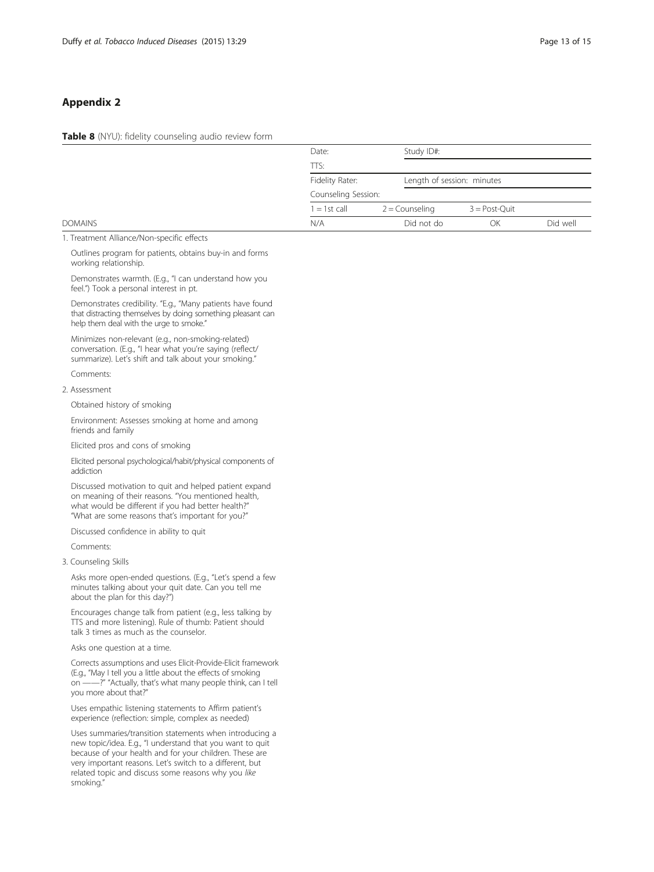# <span id="page-12-0"></span>Appendix 2

Table 8 (NYU): fidelity counseling audio review form

| Study ID#:<br>Date:                                  |          |
|------------------------------------------------------|----------|
| TTS:                                                 |          |
| Fidelity Rater:<br>Length of session: minutes        |          |
| Counseling Session:                                  |          |
| $1 = 1$ st call<br>2 = Counseling<br>$3 = Post-Quit$ |          |
| <b>DOMAINS</b><br>N/A<br>Did not do<br>ОK            | Did well |

1. Treatment Alliance/Non-specific effects

Outlines program for patients, obtains buy-in and forms working relationship.

Demonstrates warmth. (E.g., "I can understand how you feel.") Took a personal interest in pt.

Demonstrates credibility. "E.g., "Many patients have found that distracting themselves by doing something pleasant can help them deal with the urge to smoke."

Minimizes non-relevant (e.g., non-smoking-related) conversation. (E.g., "I hear what you're saying (reflect/ summarize). Let's shift and talk about your smoking."

Comments:

2. Assessment

Obtained history of smoking

Environment: Assesses smoking at home and among friends and family

Elicited pros and cons of smoking

Elicited personal psychological/habit/physical components of addiction

Discussed motivation to quit and helped patient expand on meaning of their reasons. "You mentioned health, what would be different if you had better health?' "What are some reasons that's important for you?"

Discussed confidence in ability to quit

Comments:

3. Counseling Skills

Asks more open-ended questions. (E.g., "Let's spend a few minutes talking about your quit date. Can you tell me about the plan for this day?")

Encourages change talk from patient (e.g., less talking by TTS and more listening). Rule of thumb: Patient should talk 3 times as much as the counselor.

Asks one question at a time.

Corrects assumptions and uses Elicit-Provide-Elicit framework (E.g., "May I tell you a little about the effects of smoking on ——?" "Actually, that's what many people think, can I tell you more about that?"

Uses empathic listening statements to Affirm patient's experience (reflection: simple, complex as needed)

Uses summaries/transition statements when introducing a new topic/idea. E.g., "I understand that you want to quit because of your health and for your children. These are very important reasons. Let's switch to a different, but related topic and discuss some reasons why you like smoking."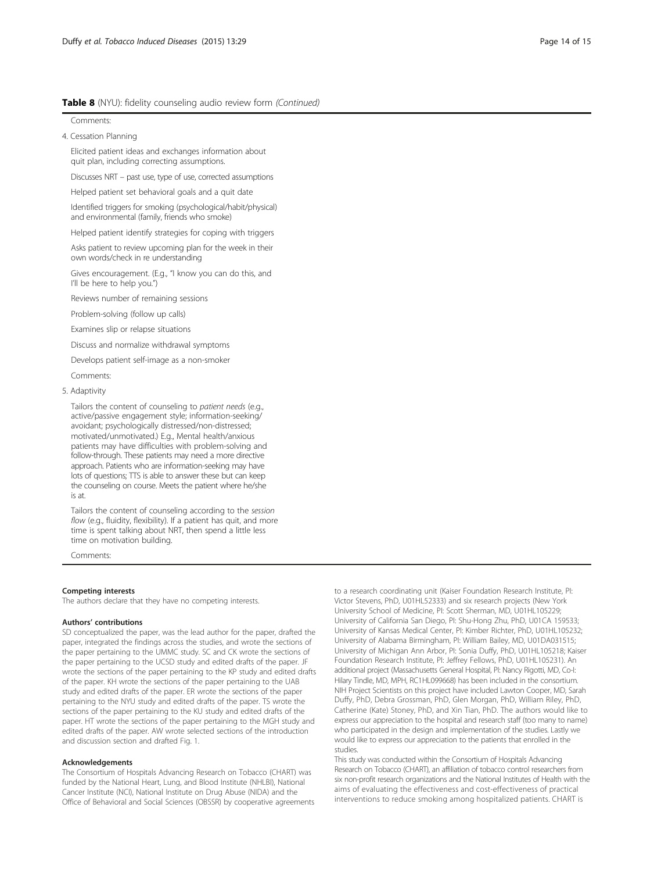### Table 8 (NYU): fidelity counseling audio review form (Continued)

Comments:

4. Cessation Planning

Elicited patient ideas and exchanges information about quit plan, including correcting assumptions.

Discusses NRT – past use, type of use, corrected assumptions

Helped patient set behavioral goals and a quit date

Identified triggers for smoking (psychological/habit/physical) and environmental (family, friends who smoke)

Helped patient identify strategies for coping with triggers

Asks patient to review upcoming plan for the week in their own words/check in re understanding

Gives encouragement. (E.g., "I know you can do this, and I'll be here to help you.")

Reviews number of remaining sessions

Problem-solving (follow up calls)

Examines slip or relapse situations

Discuss and normalize withdrawal symptoms

Develops patient self-image as a non-smoker

Comments:

5. Adaptivity

Tailors the content of counseling to patient needs (e.g., active/passive engagement style; information-seeking/ avoidant; psychologically distressed/non-distressed; motivated/unmotivated.) E.g., Mental health/anxious patients may have difficulties with problem-solving and follow-through. These patients may need a more directive approach. Patients who are information-seeking may have lots of questions; TTS is able to answer these but can keep the counseling on course. Meets the patient where he/she is at.

Tailors the content of counseling according to the session flow (e.g., fluidity, flexibility). If a patient has quit, and more time is spent talking about NRT, then spend a little less time on motivation building.

Comments:

### Competing interests

The authors declare that they have no competing interests.

#### Authors' contributions

SD conceptualized the paper, was the lead author for the paper, drafted the paper, integrated the findings across the studies, and wrote the sections of the paper pertaining to the UMMC study. SC and CK wrote the sections of the paper pertaining to the UCSD study and edited drafts of the paper. JF wrote the sections of the paper pertaining to the KP study and edited drafts of the paper. KH wrote the sections of the paper pertaining to the UAB study and edited drafts of the paper. ER wrote the sections of the paper pertaining to the NYU study and edited drafts of the paper. TS wrote the sections of the paper pertaining to the KU study and edited drafts of the paper. HT wrote the sections of the paper pertaining to the MGH study and edited drafts of the paper. AW wrote selected sections of the introduction and discussion section and drafted Fig. [1](#page-7-0).

#### Acknowledgements

The Consortium of Hospitals Advancing Research on Tobacco (CHART) was funded by the National Heart, Lung, and Blood Institute (NHLBI), National Cancer Institute (NCI), National Institute on Drug Abuse (NIDA) and the Office of Behavioral and Social Sciences (OBSSR) by cooperative agreements to a research coordinating unit (Kaiser Foundation Research Institute, PI: Victor Stevens, PhD, U01HL52333) and six research projects (New York University School of Medicine, PI: Scott Sherman, MD, U01HL105229; University of California San Diego, PI: Shu-Hong Zhu, PhD, U01CA 159533; University of Kansas Medical Center, PI: Kimber Richter, PhD, U01HL105232; University of Alabama Birmingham, PI: William Bailey, MD, U01DA031515; University of Michigan Ann Arbor, PI: Sonia Duffy, PhD, U01HL105218; Kaiser Foundation Research Institute, PI: Jeffrey Fellows, PhD, U01HL105231). An additional project (Massachusetts General Hospital, PI: Nancy Rigotti, MD, Co-I: Hilary Tindle, MD, MPH, RC1HL099668) has been included in the consortium. NIH Project Scientists on this project have included Lawton Cooper, MD, Sarah Duffy, PhD, Debra Grossman, PhD, Glen Morgan, PhD, William Riley, PhD, Catherine (Kate) Stoney, PhD, and Xin Tian, PhD. The authors would like to express our appreciation to the hospital and research staff (too many to name) who participated in the design and implementation of the studies. Lastly we would like to express our appreciation to the patients that enrolled in the studies.

This study was conducted within the Consortium of Hospitals Advancing Research on Tobacco (CHART), an affiliation of tobacco control researchers from six non-profit research organizations and the National Institutes of Health with the aims of evaluating the effectiveness and cost-effectiveness of practical interventions to reduce smoking among hospitalized patients. CHART is